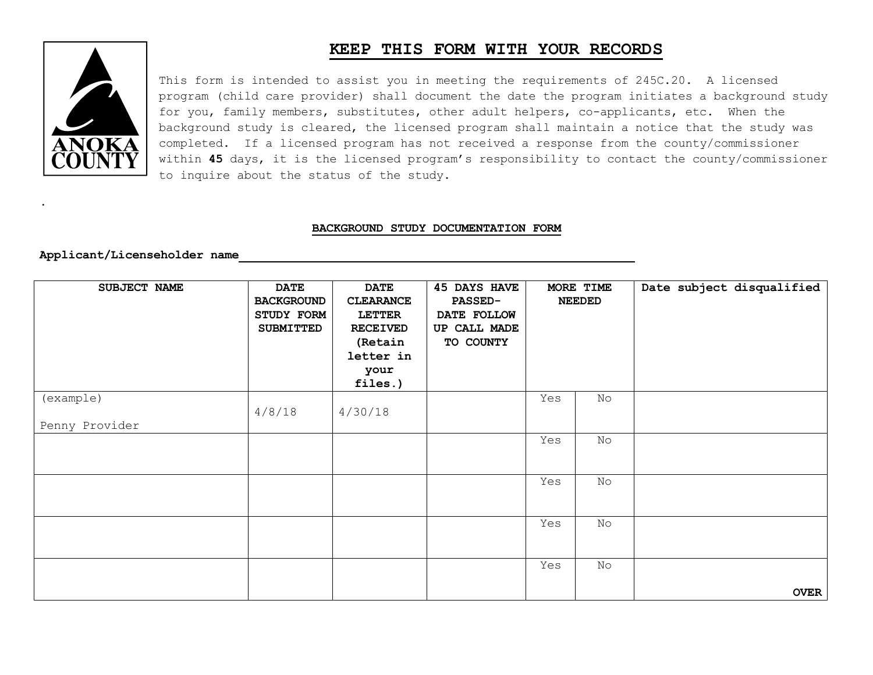## **KEEP THIS FORM WITH YOUR RECORDS**



.

This form is intended to assist you in meeting the requirements of 245C.20. A licensed program (child care provider) shall document the date the program initiates a background study for you, family members, substitutes, other adult helpers, co-applicants, etc. When the background study is cleared, the licensed program shall maintain a notice that the study was completed. If a licensed program has not received a response from the county/commissioner within **45** days, it is the licensed program's responsibility to contact the county/commissioner to inquire about the status of the study.

## **BACKGROUND STUDY DOCUMENTATION FORM**

## **Applicant/Licenseholder name**

| SUBJECT NAME                | <b>DATE</b><br><b>BACKGROUND</b><br>STUDY FORM<br><b>SUBMITTED</b> | <b>DATE</b><br><b>CLEARANCE</b><br><b>LETTER</b><br><b>RECEIVED</b><br>(Retain<br>letter in<br>your<br>files.) | <b>45 DAYS HAVE</b><br><b>PASSED-</b><br>DATE FOLLOW<br>UP CALL MADE<br>TO COUNTY | MORE TIME<br><b>NEEDED</b> |    | Date subject disqualified |
|-----------------------------|--------------------------------------------------------------------|----------------------------------------------------------------------------------------------------------------|-----------------------------------------------------------------------------------|----------------------------|----|---------------------------|
| (example)<br>Penny Provider | 4/8/18                                                             | 4/30/18                                                                                                        |                                                                                   | Yes                        | No |                           |
|                             |                                                                    |                                                                                                                |                                                                                   | Yes                        | No |                           |
|                             |                                                                    |                                                                                                                |                                                                                   | Yes                        | No |                           |
|                             |                                                                    |                                                                                                                |                                                                                   | Yes                        | No |                           |
|                             |                                                                    |                                                                                                                |                                                                                   | Yes                        | No | <b>OVER</b>               |